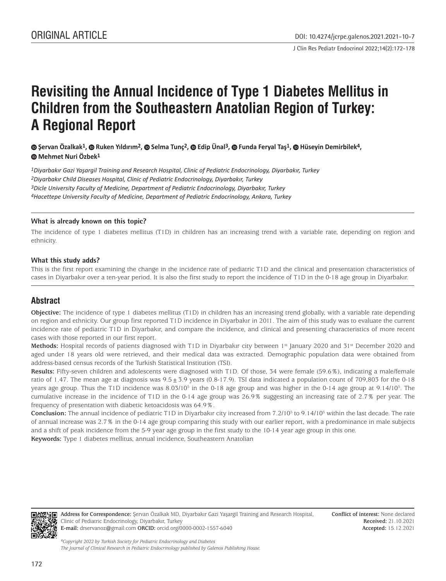J Clin Res Pediatr Endocrinol 2022;14(2):172-178

# **Revisiting the Annual Incidence of Type 1 Diabetes Mellitus in Children from the Southeastern Anatolian Region of Turkey: A Regional Report**

## **Şervan Özalkak1,Ruken Yıldırım2, Selma Tunç2,Edip Ünal3, Funda Feryal Taş1, Hüseyin Demirbilek4, Mehmet Nuri Özbek1**

*Diyarbakır Gazi Yaşargil Training and Research Hospital, Clinic of Pediatric Endocrinology, Diyarbakır, Turkey Diyarbakır Child Diseases Hospital, Clinic of Pediatric Endocrinology, Diyarbakır, Turkey Dicle University Faculty of Medicine, Department of Pediatric Endocrinology, Diyarbakır, Turkey Hacettepe University Faculty of Medicine, Department of Pediatric Endocrinology, Ankara, Turkey*

#### **What is already known on this topic?**

The incidence of type 1 diabetes mellitus (T1D) in children has an increasing trend with a variable rate, depending on region and ethnicity.

#### **What this study adds?**

This is the first report examining the change in the incidence rate of pediatric T1D and the clinical and presentation characteristics of cases in Diyarbakır over a ten-year period. It is also the first study to report the incidence of T1D in the 0-18 age group in Diyarbakır.

# **Abstract**

**Objective:** The incidence of type 1 diabetes mellitus (T1D) in children has an increasing trend globally, with a variable rate depending on region and ethnicity. Our group first reported T1D incidence in Diyarbakır in 2011. The aim of this study was to evaluate the current incidence rate of pediatric T1D in Diyarbakır, and compare the incidence, and clinical and presenting characteristics of more recent cases with those reported in our first report.

Methods: Hospital records of patients diagnosed with T1D in Diyarbakır city between 1<sup>st</sup> January 2020 and 31<sup>st</sup> December 2020 and aged under 18 years old were retrieved, and their medical data was extracted. Demographic population data were obtained from address-based census records of the Turkish Statistical Institution (TSI).

**Results:** Fifty-seven children and adolescents were diagnosed with T1D. Of those, 34 were female (59.6%), indicating a male/female ratio of 1.47. The mean age at diagnosis was  $9.5 \pm 3.9$  years (0.8-17.9). TSI data indicated a population count of 709,803 for the 0-18 years age group. Thus the T1D incidence was 8.03/10<sup>5</sup> in the 0-18 age group and was higher in the 0-14 age group at 9.14/10<sup>5</sup>. The cumulative increase in the incidence of T1D in the 0-14 age group was 26.9% suggesting an increasing rate of 2.7% per year. The frequency of presentation with diabetic ketoacidosis was 64.9%.

**Conclusion:** The annual incidence of pediatric T1D in Diyarbakır city increased from 7.2/10<sup>5</sup> to 9.14/10<sup>5</sup> within the last decade. The rate of annual increase was 2.7% in the 0-14 age group comparing this study with our earlier report, with a predominance in male subjects and a shift of peak incidence from the 5-9 year age group in the first study to the 10-14 year age group in this one.

**Keywords:** Type 1 diabetes mellitus, annual incidence, Southeastern Anatolian



**Address for Correspondence:** Şervan Özalkak MD, Diyarbakır Gazi Yaşargil Training and Research Hospital, Clinic of Pediatric Endocrinology, Diyarbakır, Turkey **E-mail:** drservanoz@gmail.com **ORCID:** orcid.org/0000-0002-1557-6040

**Conflict of interest:** None declared **Received:** 21.10.2021 **Accepted:** 15.12.2021

*©Copyright 2022 by Turkish Society for Pediatric Endocrinology and Diabetes The Journal of Clinical Research in Pediatric Endocrinology published by Galenos Publishing House.*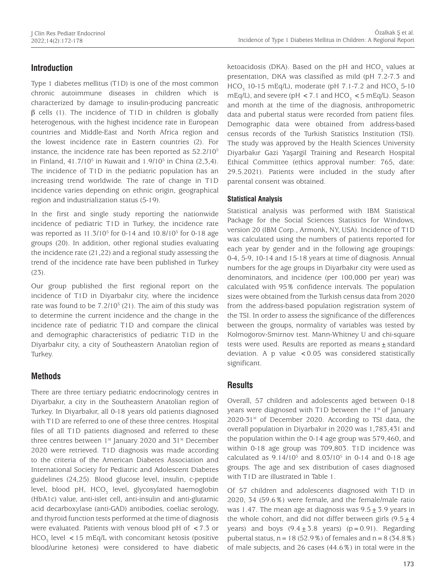# **Introduction**

Type 1 diabetes mellitus (T1D) is one of the most common chronic autoimmune diseases in children which is characterized by damage to insulin-producing pancreatic  $β$  cells (1). The incidence of T1D in children is globally heterogenous, with the highest incidence rate in European countries and Middle-East and North Africa region and the lowest incidence rate in Eastern countries (2). For instance, the incidence rate has been reported as  $52.2/10^5$ in Finland,  $41.7/10^5$  in Kuwait and  $1.9/10^5$  in China (2,3,4). The incidence of T1D in the pediatric population has an increasing trend worldwide. The rate of change in T1D incidence varies depending on ethnic origin, geographical region and industrialization status (5-19).

In the first and single study reporting the nationwide incidence of pediatric T1D in Turkey, the incidence rate was reported as 11.3/10<sup>5</sup> for 0-14 and 10.8/10<sup>5</sup> for 0-18 age groups (20). In addition, other regional studies evaluating the incidence rate (21,22) and a regional study assessing the trend of the incidence rate have been published in Turkey (23).

Our group published the first regional report on the incidence of T1D in Diyarbakır city, where the incidence rate was found to be  $7.2/10^5$  (21). The aim of this study was to determine the current incidence and the change in the incidence rate of pediatric T1D and compare the clinical and demographic characteristics of pediatric T1D in the Diyarbakır city, a city of Southeastern Anatolian region of Turkey.

# **Methods**

There are three tertiary pediatric endocrinology centres in Diyarbakır, a city in the Southeastern Anatolian region of Turkey. In Diyarbakır, all 0-18 years old patients diagnosed with T1D are referred to one of these three centres. Hospital files of all T1D patients diagnosed and referred to these three centres between  $1^{st}$  January 2020 and  $31^{st}$  December 2020 were retrieved. T1D diagnosis was made according to the criteria of the American Diabetes Association and International Society for Pediatric and Adolescent Diabetes guidelines (24,25). Blood glucose level, insulin, c-peptide level, blood pH, HCO<sub>3</sub> level, glycosylated haemoglobin (HbA1c) value, anti-islet cell, anti-insulin and anti-glutamic acid decarboxylase (anti-GAD) antibodies, coeliac serology, and thyroid function tests performed at the time of diagnosis were evaluated. Patients with venous blood pH of <7.3 or  $HCO<sub>3</sub>$  level  $\lt 15$  mEq/L with concomitant ketosis (positive blood/urine ketones) were considered to have diabetic

ketoacidosis (DKA). Based on the pH and  $\mathrm{HCO}_3^-$  values at presentation, DKA was classified as mild (pH 7.2-7.3 and  $HCO_{3}$  10-15 mEq/L), moderate (pH 7.1-7.2 and  $HCO_{3}$  5-10 mEq/L), and severe (pH  $<$  7.1 and HCO<sub>3</sub>  $<$  5 mEq/L). Season and month at the time of the diagnosis, anthropometric data and pubertal status were recorded from patient files. Demographic data were obtained from address-based census records of the Turkish Statistics Institution (TSI). The study was approved by the Health Sciences University Diyarbakır Gazi Yaşargil Training and Research Hospital Ethical Committee (ethics approval number: 765, date: 29.5.2021). Patients were included in the study after parental consent was obtained.

## **Statistical Analysis**

Statistical analysis was performed with IBM Statistical Package for the Social Sciences Statistics for Windows, version 20 (IBM Corp., Armonk, NY, USA). Incidence of T1D was calculated using the numbers of patients reported for each year by gender and in the following age groupings: 0-4, 5-9, 10-14 and 15-18 years at time of diagnosis. Annual numbers for the age groups in Diyarbakır city were used as denominators, and incidence (per 100,000 per year) was calculated with 95% confidence intervals. The population sizes were obtained from the Turkish census data from 2020 from the address-based population registration system of the TSI. In order to assess the significance of the differences between the groups, normality of variables was tested by Kolmogorov-Smirnov test. Mann-Whitney U and chi-square tests were used. Results are reported as means $\pm$  standard deviation. A p value  $< 0.05$  was considered statistically significant.

## **Results**

Overall, 57 children and adolescents aged between 0-18 years were diagnosed with T1D between the  $1<sup>st</sup>$  of January 2020-31<sup>st</sup> of December 2020. According to TSI data, the overall population in Diyarbakır in 2020 was 1,783,431 and the population within the 0-14 age group was 579,460, and within 0-18 age group was 709,803. T1D incidence was calculated as 9.14/10<sup>5</sup> and 8.03/10<sup>5</sup> in 0-14 and 0-18 age groups. The age and sex distribution of cases diagnosed with T1D are illustrated in Table 1.

Of 57 children and adolescents diagnosed with T1D in 2020, 34 (59.6%) were female, and the female/male ratio was 1.47. The mean age at diagnosis was  $9.5 \pm 3.9$  years in the whole cohort, and did not differ between girls  $(9.5 \pm 4)$ years) and boys  $(9.4 \pm 3.8 \text{ years})$  (p=0.91). Regarding pubertal status,  $n=18$  (52.9%) of females and  $n=8$  (34.8%) of male subjects, and 26 cases (44.6%) in total were in the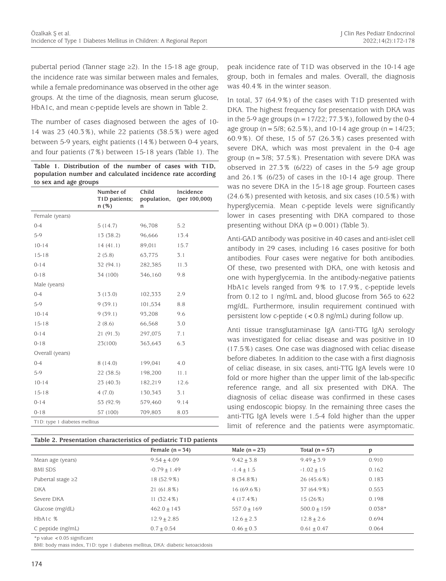pubertal period (Tanner stage ≥2). In the 15-18 age group, the incidence rate was similar between males and females, while a female predominance was observed in the other age groups. At the time of the diagnosis, mean serum glucose, HbA1c, and mean c-peptide levels are shown in Table 2.

The number of cases diagnosed between the ages of 10- 14 was 23 (40.3%), while 22 patients (38.5%) were aged between 5-9 years, eight patients (14%) between 0-4 years, and four patients (7%) between 15-18 years (Table 1). The

|  | Table 1. Distribution of the number of cases with T1D,    |  |  |  |  |
|--|-----------------------------------------------------------|--|--|--|--|
|  | population number and calculated incidence rate according |  |  |  |  |
|  | to sex and age groups                                     |  |  |  |  |

|                               | Number of<br>T1D patients;<br>n(%) | Child<br>population,<br>n | Incidence<br>(per $100,000$ ) |
|-------------------------------|------------------------------------|---------------------------|-------------------------------|
| Female (years)                |                                    |                           |                               |
| $0 - 4$                       | 5(14.7)                            | 96,708                    | 5.2                           |
| 5-9                           | 13 (38.2)                          | 96,666                    | 13.4                          |
| $10 - 14$                     | 14(41.1)                           | 89,011                    | 15.7                          |
| $15 - 18$                     | 2(5.8)                             | 63,775                    | 3.1                           |
| $0 - 14$                      | 32 (94.1)                          | 282,385                   | 11.3                          |
| $0 - 18$                      | 34 (100)                           | 346,160                   | 9.8                           |
| Male (years)                  |                                    |                           |                               |
| $0 - 4$                       | 3(13.0)                            | 102,333                   | 2.9                           |
| 5-9                           | 9(39.1)                            | 101,534                   | 8.8                           |
| $10 - 14$                     | 9(39.1)                            | 93,208                    | 9.6                           |
| $15 - 18$                     | 2(8.6)                             | 66,568                    | 3.0                           |
| $0 - 14$                      | 21(91.3)                           | 297,075                   | 7.1                           |
| $0 - 18$                      | 23(100)                            | 363,643                   | 6.3                           |
| Overall (years)               |                                    |                           |                               |
| $0 - 4$                       | 8 (14.0)                           | 199,041                   | 4.0                           |
| 5-9                           | 22(38.5)                           | 198,200                   | 11.1                          |
| $10 - 14$                     | 23(40.3)                           | 182,219                   | 12.6                          |
| $15 - 18$                     | 4(7.0)                             | 130,343                   | 3.1                           |
| $0 - 14$                      | 53 (92.9)                          | 579,460                   | 9.14                          |
| $0 - 18$                      | 57 (100)                           | 709,803                   | 8.03                          |
| T1D: type 1 diabetes mellitus |                                    |                           |                               |

|  | Table 2. Presentation characteristics of pediatric T1D patients |  |  |
|--|-----------------------------------------------------------------|--|--|
|  |                                                                 |  |  |

peak incidence rate of T1D was observed in the 10-14 age group, both in females and males. Overall, the diagnosis was 40.4% in the winter season.

In total, 37 (64.9%) of the cases with T1D presented with DKA. The highest frequency for presentation with DKA was in the 5-9 age groups ( $n=17/22$ ; 77.3%), followed by the 0-4 age group ( $n = 5/8$ ; 62.5%), and 10-14 age group ( $n = 14/23$ ; 60.9%). Of these, 15 of 57 (26.3%) cases presented with severe DKA, which was most prevalent in the 0-4 age group ( $n=3/8$ ; 37.5%). Presentation with severe DKA was observed in 27.3% (6/22) of cases in the 5-9 age group and 26.1% (6/23) of cases in the 10-14 age group. There was no severe DKA in the 15-18 age group. Fourteen cases (24.6%) presented with ketosis, and six cases (10.5%) with hyperglycemia. Mean c-peptide levels were significantly lower in cases presenting with DKA compared to those presenting without DKA  $(p = 0.001)$  (Table 3).

Anti-GAD antibody was positive in 40 cases and anti-islet cell antibody in 29 cases, including 16 cases positive for both antibodies. Four cases were negative for both antibodies. Of these, two presented with DKA, one with ketosis and one with hyperglycemia. In the antibody-negative patients HbA1c levels ranged from 9% to 17.9%, c-peptide levels from 0.12 to 1 ng/mL and, blood glucose from 365 to 622 mg/dL. Furthermore, insulin requirement continued with persistent low c-peptide (<0.8 ng/mL) during follow up.

Anti tissue transglutaminase IgA (anti-TTG IgA) serology was investigated for celiac disease and was positive in 10 (17.5%) cases. One case was diagnosed with celiac disease before diabetes. In addition to the case with a first diagnosis of celiac disease, in six cases, anti-TTG IgA levels were 10 fold or more higher than the upper limit of the lab-specific reference range, and all six presented with DKA. The diagnosis of celiac disease was confirmed in these cases using endoscopic biopsy. In the remaining three cases the anti-TTG IgA levels were 1.5-4 fold higher than the upper limit of reference and the patients were asymptomatic.

|                                  | Female $(n = 34)$ | Male $(n = 23)$ | Total $(n = 57)$ | p        |
|----------------------------------|-------------------|-----------------|------------------|----------|
| Mean age (years)                 | $9.54 + 4.09$     | $9.42 + 3.8$    | $9.49 + 3.9$     | 0.910    |
| <b>BMI SDS</b>                   | $-0.79 + 1.49$    | $-1.4 + 1.5$    | $-1.02 + 15$     | 0.162    |
| Pubertal stage $\geq$ 2          | 18 (52.9%)        | $8(34.8\%)$     | $26(45.6\%)$     | 0.183    |
| <b>DKA</b>                       | 21 (61.8%)        | $16(69.6\%)$    | 37 (64.9%)       | 0.553    |
| Severe DKA                       | $11(32.4\%)$      | $4(17.4\%)$     | 15 (26%)         | 0.198    |
| Glucose (mg/dL)                  | $462.0 \pm 143$   | $557.0 + 169$   | $500.0 + 159$    | $0.038*$ |
| HbA1c %                          | $12.9 + 2.85$     | $12.6 + 2.3$    | $12.8 + 2.6$     | 0.694    |
| C peptide (ng/mL)                | $0.7 + 0.54$      | $0.46 + 0.3$    | $0.61 + 0.47$    | 0.064    |
| $*$ n value $<$ 0.05 significant |                   |                 |                  |          |

\*p value <0.05 significant

BMI: body mass index, T1D: type 1 diabetes mellitus, DKA: diabetic ketoacidosis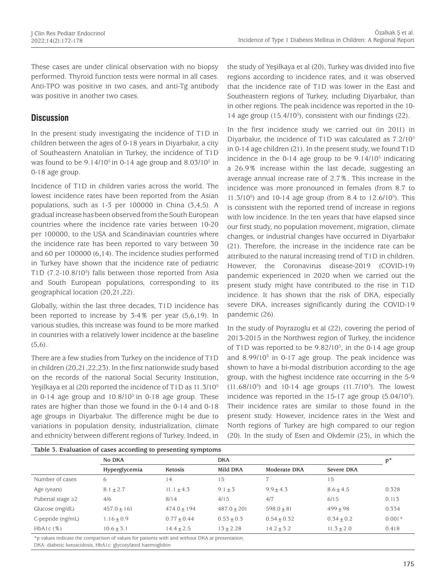These cases are under clinical observation with no biopsy performed. Thyroid function tests were normal in all cases. Anti-TPO was positive in two cases, and anti-Tg antibody was positive in another two cases.

# **Discussion**

In the present study investigating the incidence of T1D in children between the ages of 0-18 years in Diyarbakır, a city of Southeastern Anatolian in Turkey, the incidence of T1D was found to be  $9.14/10^5$  in 0-14 age group and  $8.03/10^5$  in 0-18 age group.

Incidence of T1D in children varies across the world. The lowest incidence rates have been reported from the Asian populations, such as 1-3 per 100000 in China (3,4,5). A gradual increase has been observed from the South European countries where the incidence rate varies between 10-20 per 100000, to the USA and Scandinavian countries where the incidence rate has been reported to vary between 30 and 60 per 100000 (6,14). The incidence studies performed in Turkey have shown that the incidence rate of pediatric T1D (7.2-10.8/10<sup>5</sup>) falls between those reported from Asia and South European populations, corresponding to its geographical location (20,21,22).

Globally, within the last three decades, T1D incidence has been reported to increase by 3-4% per year (5,6,19). In various studies, this increase was found to be more marked in countries with a relatively lower incidence at the baseline (5,6).

There are a few studies from Turkey on the incidence of T1D in children (20,21,22,23). In the first nationwide study based on the records of the national Social Security Institution, Yeşilkaya et al (20) reported the incidence of T1D as 11.3/10<sup>5</sup> in 0-14 age group and  $10.8/10^5$  in 0-18 age group. These rates are higher than those we found in the 0-14 and 0-18 age groups in Diyarbakır. The difference might be due to variations in population density, industrialization, climate and ethnicity between different regions of Turkey. Indeed, in the study of Yeşilkaya et al (20), Turkey was divided into five regions according to incidence rates, and it was observed that the incidence rate of T1D was lower in the East and Southeastern regions of Turkey, including Diyarbakır, than in other regions. The peak incidence was reported in the 10- 14 age group (15.4/10<sup>5</sup>), consistent with our findings (22).

In the first incidence study we carried out (in 2011) in Diyarbakır, the incidence of T1D was calculated as 7.2/10<sup>5</sup> in 0-14 age children (21). In the present study, we found T1D incidence in the 0-14 age group to be  $9.14/10^5$  indicating a 26.9% increase within the last decade, suggesting an average annual increase rate of 2.7%. This increase in the incidence was more pronounced in females (from 8.7 to 11.3/105 ) and 10-14 age group (from 8.4 to 12.6/105 ). This is consistent with the reported trend of increase in regions with low incidence. In the ten years that have elapsed since our first study, no population movement, migration, climate changes, or industrial changes have occurred in Diyarbakır (21). Therefore, the increase in the incidence rate can be attributed to the natural increasing trend of T1D in children. However, the Coronavirus disease-2019 (COVID-19) pandemic experienced in 2020 when we carried out the present study might have contributed to the rise in T1D incidence. It has shown that the risk of DKA, especially severe DKA, increases significantly during the COVID-19 pandemic (26).

In the study of Poyrazoglu et al (22), covering the period of 2013-2015 in the Northwest region of Turkey, the incidence of T1D was reported to be 9.82/10<sup>5</sup>, in the 0-14 age group and 8.99/10<sup>5</sup> in 0-17 age group. The peak incidence was shown to have a bi-modal distribution according to the age group, with the highest incidence rate occurring in the 5-9  $(11.68/10^5)$  and 10-14 age groups  $(11.7/10^5)$ . The lowest incidence was reported in the  $15-17$  age group  $(5.04/10<sup>5</sup>)$ . Their incidence rates are similar to those found in the present study. However, incidence rates in the West and North regions of Turkey are high compared to our region (20). In the study of Esen and Okdemir (23), in which the

|                         | Table 3. Evaluation of cases according to presenting symptoms<br>No DKA |               | <b>DKA</b>    |               |              |          |  |
|-------------------------|-------------------------------------------------------------------------|---------------|---------------|---------------|--------------|----------|--|
|                         | Hyperglycemia                                                           | Ketosis       | Mild DKA      | Moderate DKA  | Severe DKA   |          |  |
| Number of cases         | 6                                                                       | 14            | 15            |               | 15           |          |  |
| Age (years)             | $8.1 + 2.7$                                                             | $11.1 + 4.3$  | $9.1 + 3$     | $9.9 + 4.3$   | $8.6 + 4.5$  | 0.328    |  |
| Pubertal stage $\geq$ 2 | 4/6                                                                     | 8/14          | 4/15          | 4/7           | 6/15         | 0.113    |  |
| Glucose (mg/dL)         | $457.0 + 161$                                                           | $474.0 + 194$ | $487.0 + 201$ | $598.0 + 81$  | $499 + 98$   | 0.334    |  |
| C-peptide (ng/mL)       | $1.16 + 0.9$                                                            | $0.77 + 0.44$ | $0.53 + 0.3$  | $0.54 + 0.32$ | $0.34 + 0.2$ | $0.001*$ |  |
| HbA1c(%)                | $10.6 \pm 3.1$                                                          | $14.4 + 2.5$  | $13 + 2.28$   | $14.2 + 3.2$  | $11.3 + 2.0$ | 0.418    |  |

\*p values indicate the comparison of values for patients with and without DKA at presentation.

DKA: diabetic ketoacidosis, HbA1c: glycosylated haemoglobin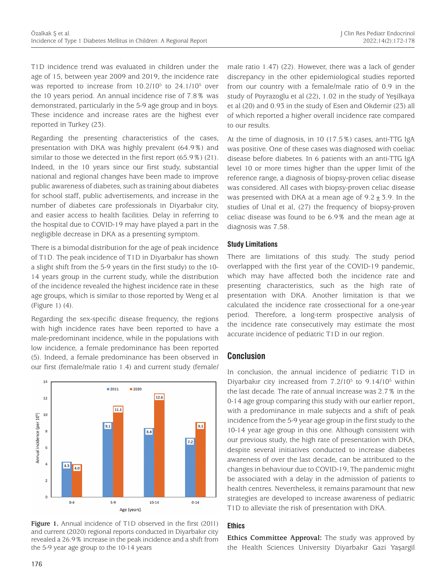T1D incidence trend was evaluated in children under the age of 15, between year 2009 and 2019, the incidence rate was reported to increase from 10.2/10<sup>5</sup> to 24.1/10<sup>5</sup> over the 10 years period. An annual incidence rise of 7.8% was demonstrated, particularly in the 5-9 age group and in boys. These incidence and increase rates are the highest ever reported in Turkey (23).

Regarding the presenting characteristics of the cases, presentation with DKA was highly prevalent (64.9%) and similar to those we detected in the first report (65.9%) (21). Indeed, in the 10 years since our first study, substantial national and regional changes have been made to improve public awareness of diabetes, such as training about diabetes for school staff, public advertisements, and increase in the number of diabetes care professionals in Diyarbakır city, and easier access to health facilities. Delay in referring to the hospital due to COVID-19 may have played a part in the negligible decrease in DKA as a presenting symptom.

There is a bimodal distribution for the age of peak incidence of T1D. The peak incidence of T1D in Diyarbakır has shown a slight shift from the 5-9 years (in the first study) to the 10- 14 years group in the current study, while the distribution of the incidence revealed the highest incidence rate in these age groups, which is similar to those reported by Weng et al (Figure 1) (4).

Regarding the sex-specific disease frequency, the regions with high incidence rates have been reported to have a male-predominant incidence, while in the populations with low incidence, a female predominance has been reported (5). Indeed, a female predominance has been observed in our first (female/male ratio 1.4) and current study (female/



Figure 1. Annual incidence of T1D observed in the first (2011) and current (2020) regional reports conducted in Diyarbakır city revealed a 26.9% increase in the peak incidence and a shift from the 5-9 year age group to the 10-14 years

male ratio 1.47) (22). However, there was a lack of gender discrepancy in the other epidemiological studies reported from our country with a female/male ratio of 0.9 in the study of Poyrazoglu et al (22), 1.02 in the study of Yeşilkaya et al (20) and 0.93 in the study of Esen and Okdemir (23) all of which reported a higher overall incidence rate compared to our results.

At the time of diagnosis, in 10 (17.5%) cases, anti-TTG IgA was positive. One of these cases was diagnosed with coeliac disease before diabetes. In 6 patients with an anti-TTG IgA level 10 or more times higher than the upper limit of the reference range, a diagnosis of biopsy-proven celiac disease was considered. All cases with biopsy-proven celiac disease was presented with DKA at a mean age of  $9.2 \pm 5.9$ . In the studies of Unal et al, (27) the frequency of biopsy-proven celiac disease was found to be 6.9% and the mean age at diagnosis was 7.58.

#### **Study Limitations**

There are limitations of this study. The study period overlapped with the first year of the COVID-19 pandemic, which may have affected both the incidence rate and presenting characteristics, such as the high rate of presentation with DKA. Another limitation is that we calculated the incidence rate crossectional for a one-year period. Therefore, a long-term prospective analysis of the incidence rate consecutively may estimate the most accurate incidence of pediatric T1D in our region.

## **Conclusion**

In conclusion, the annual incidence of pediatric T1D in Diyarbakır city increased from  $7.2/10^5$  to  $9.14/10^5$  within the last decade. The rate of annual increase was 2.7% in the 0-14 age group comparing this study with our earlier report, with a predominance in male subjects and a shift of peak incidence from the 5-9 year age group in the first study to the 10-14 year age group in this one. Although consistent with our previous study, the high rate of presentation with DKA, despite several initiatives conducted to increase diabetes awareness of over the last decade, can be attributed to the changes in behaviour due to COVID-19, The pandemic might be associated with a delay in the admission of patients to health centres. Nevertheless, it remains paramount that new strategies are developed to increase awareness of pediatric T1D to alleviate the risk of presentation with DKA.

#### **Ethics**

**Ethics Committee Approval:** The study was approved by the Health Sciences University Diyarbakır Gazi Yaşargil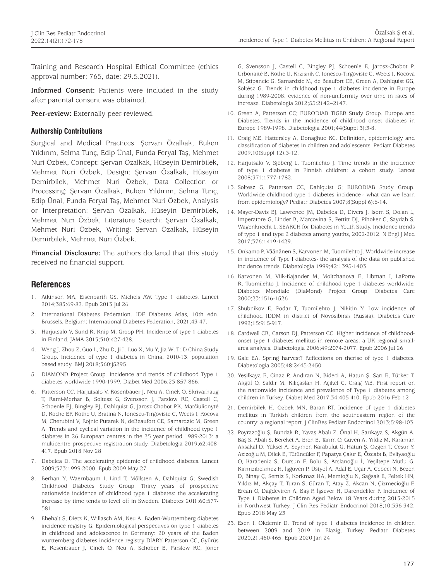Training and Research Hospital Ethical Committee (ethics approval number: 765, date: 29.5.2021).

**Informed Consent:** Patients were included in the study after parental consent was obtained.

**Peer-review:** Externally peer-reviewed.

#### **Authorship Contributions**

Surgical and Medical Practices: Şervan Özalkak, Ruken Yıldırım, Selma Tunç, Edip Ünal, Funda Feryal Taş, Mehmet Nuri Özbek, Concept: Şervan Özalkak, Hüseyin Demirbilek, Mehmet Nuri Özbek, Design: Şervan Özalkak, Hüseyin Demirbilek, Mehmet Nuri Özbek, Data Collection or Processing: Şervan Özalkak, Ruken Yıldırım, Selma Tunç, Edip Ünal, Funda Feryal Taş, Mehmet Nuri Özbek, Analysis or Interpretation: Şervan Özalkak, Hüseyin Demirbilek, Mehmet Nuri Özbek, Literature Search: Şervan Özalkak, Mehmet Nuri Özbek, Writing: Şervan Özalkak, Hüseyin Demirbilek, Mehmet Nuri Özbek.

**Financial Disclosure:** The authors declared that this study received no financial support.

## **References**

- 1. Atkinson MA, Eisenbarth GS, Michels AW. Type 1 diabetes. Lancet 2014;383:69-82. Epub 2013 Jul 26
- 2. International Diabetes Federation. IDF Diabetes Atlas, 10th edn. Brussels, Belgium: International Diabetes Federation, 2021;43-47.
- 3. Harjutsalo V, Sund R, Knip M, Groop PH. Incidence of type 1 diabetes in Finland. JAMA 2013;310:427-428.
- 4. Weng J, Zhou Z, Guo L, Zhu D, Ji L, Luo X, Mu Y, Jia W; T1D China Study Group. Incidence of type 1 diabetes in China, 2010-13: population based study. BMJ 2018;360:j5295.
- 5. DIAMOND Project Group. Incidence and trends of childhood Type 1 diabetes worldwide 1990-1999. Diabet Med 2006;23:857-866.
- 6. Patterson CC, Harjutsalo V, Rosenbauer J, Neu A, Cinek O, Skrivarhaug T, Rami-Merhar B, Soltesz G, Svensson J, Parslow RC, Castell C, Schoenle EJ, Bingley PJ, Dahlquist G, Jarosz-Chobot PK, Marčiulionytė D, Roche EF, Rothe U, Bratina N, Ionescu-Tirgoviste C, Weets I, Kocova M, Cherubini V, Rojnic Putarek N, deBeaufort CE, Samardzic M, Green A. Trends and cyclical variation in the incidence of childhood type 1 diabetes in 26 European centres in the 25 year period 1989-2013: a multicentre prospective registration study. Diabetologia 2019;62:408- 417. Epub 2018 Nov 28
- 7. Dabelea D. The accelerating epidemic of childhood diabetes. Lancet 2009;373:1999-2000. Epub 2009 May 27
- 8. Berhan Y, Waernbaum I, Lind T, Möllsten A, Dahlquist G; Swedish Childhood Diabetes Study Group. Thirty years of prospective nationwide incidence of childhood type 1 diabetes: the accelerating increase by time tends to level off in Sweden. Diabetes 2011;60:577- 581.
- 9. Ehehalt S, Dietz K, Willasch AM, Neu A. Baden-Wurttemberg diabetes incidence registry G. Epidemiological perspectives on type 1 diabetes in childhood and adolescence in Germany: 20 years of the Baden wurttemberg diabetes incidence registry DIARY Patterson CC, Gyürüs E, Rosenbauer J, Cinek O, Neu A, Schober E, Parslow RC, Joner

G, Svensson J, Castell C, Bingley PJ, Schoenle E, Jarosz-Chobot P, Urbonaité B, Rothe U, Krzisnik C, Ionescu-Tirgoviste C, Weets I, Kocova M, Stipancic G, Samardzic M, de Beaufort CE, Green A, Dahlquist GG, Soltész G. Trends in childhood type 1 diabetes incidence in Europe during 1989-2008: evidence of non-uniformity over time in rates of increase. Diabetologia 2012;55:2142–2147.

- 10. Green A, Patterson CC; EURODIAB TIGER Study Group. Europe and Diabetes. Trends in the incidence of childhood onset diabetes in Europe 1989-1998. Diabetologia 2001;44(Suppl 3):3-8.
- 11. Craig ME, Hattersley A, Donaghue KC. Definition, epidemiology and classification of diabetes in children and adolescents. Pediatr Diabetes 2009;10(Suppl 12):3-12.
- 12. Harjutsalo V, Sjöberg L, Tuomilehto J. Time trends in the incidence of type 1 diabetes in Finnish children: a cohort study. Lancet 2008;371:1777-1782.
- 13. Soltesz G, Patterson CC, Dahlquist G; EURODIAB Study Group. Worldwide childhood type 1 diabetes incidence-- what can we learn from epidemiology? Pediatr Diabetes 2007;8(Suppl 6):6-14.
- 14. Mayer-Davis EJ, Lawrence JM, Dabelea D, Divers J, Isom S, Dolan L, Imperatore G, Linder B, Marcovina S, Pettitt DJ, Pihoker C, Saydah S, Wagenknecht L; SEARCH for Diabetes in Youth Study. Incidence trends of type 1 and type 2 diabetes among youths, 2002-2012. N Engl J Med 2017;376:1419-1429.
- 15. Onkamo P, Väänänen S, Karvonen M, Tuomilehto J. Worldwide increase in incidence of Type I diabetes- the analysis of the data on published incidence trends. Diabetologia 1999;42:1395-1403.
- 16. Karvonen M, Viik-Kajander M, Moltchanova E, Libman I, LaPorte R, Tuomilehto J. Incidence of childhood type 1 diabetes worldwide. Diabetes Mondiale (DiaMond) Project Group. Diabetes Care 2000;23:1516-1526
- 17. Shubnikov E, Podar T, Tuomilehto J, Nikitin Y. Low incidence of childhood IDDM in district of Novosibirsk (Russia). Diabetes Care 1992;15:915-917.
- 18. Cardwell CR, Carson DJ, Patterson CC. Higher incidence of childhoodonset type 1 diabetes mellitus in remote areas: a UK regional smallarea analysis. Diabetologia 2006;49:2074-2077. Epub 2006 Jul 26
- 19. Gale EA. Spring harvest? Reflections on therise of type 1 diabetes. Diabetologia 2005;48:2445-2450.
- 20. Yeşilkaya E, Cinaz P, Andıran N, Bideci A, Hatun Ş, Sarı E, Türker T, Akgül Ö, Saldır M, Kılıçaslan H, Açıkel C, Craig ME. First report on the nationwide incidence and prevalence of Type 1 diabetes among children in Turkey. Diabet Med 2017;34:405-410. Epub 2016 Feb 12
- 21. Demirbilek H, Özbek MN, Baran RT. Incidence of type 1 diabetes mellitus in Turkish children from the southeastern region of the country: a regional report. J ClinRes Pediatr Endocrinol 2013;5:98-103.
- 22. Poyrazoğlu Ş, Bundak R, Yavaş Abalı Z, Önal H, Sarıkaya S, Akgün A, Baş S, Abalı S, Bereket A, Eren E, Tarım Ö, Güven A, Yıldız M, Karaman Aksakal D, Yüksel A, Seymen Karabulut G, Hatun Ş, Özgen T, Cesur Y, Azizoğlu M, Dilek E, Tütüncüler F, Papatya Çakır E, Özcabı B, Evliyaoğlu O, Karadeniz S, Dursun F, Bolu S, Arslanoğlu İ, Yeşiltepe Mutlu G, Kırmızıbekmez H, İşgüven P, Üstyol A, Adal E, Uçar A, Cebeci N, Bezen D, Binay Ç, Semiz S, Korkmaz HA, Memioğlu N, Sağsak E, Peltek HN, Yıldız M, Akçay T, Turan S, Güran T, Atay Z, Akcan N, Çizmecioğlu F, Ercan O, Dağdeviren A, Baş F, İşsever H, Darendeliler F. Incidence of Type 1 Diabetes in Children Aged Below 18 Years during 2013-2015 in Northwest Turkey. J Clin Res Pediatr Endocrinol 2018;10:336-342. Epub 2018 May 23
- 23. Esen I, Okdemir D. Trend of type 1 diabetes incidence in children between 2009 and 2019 in Elazig, Turkey. Pediatr Diabetes 2020;21:460-465. Epub 2020 Jan 24